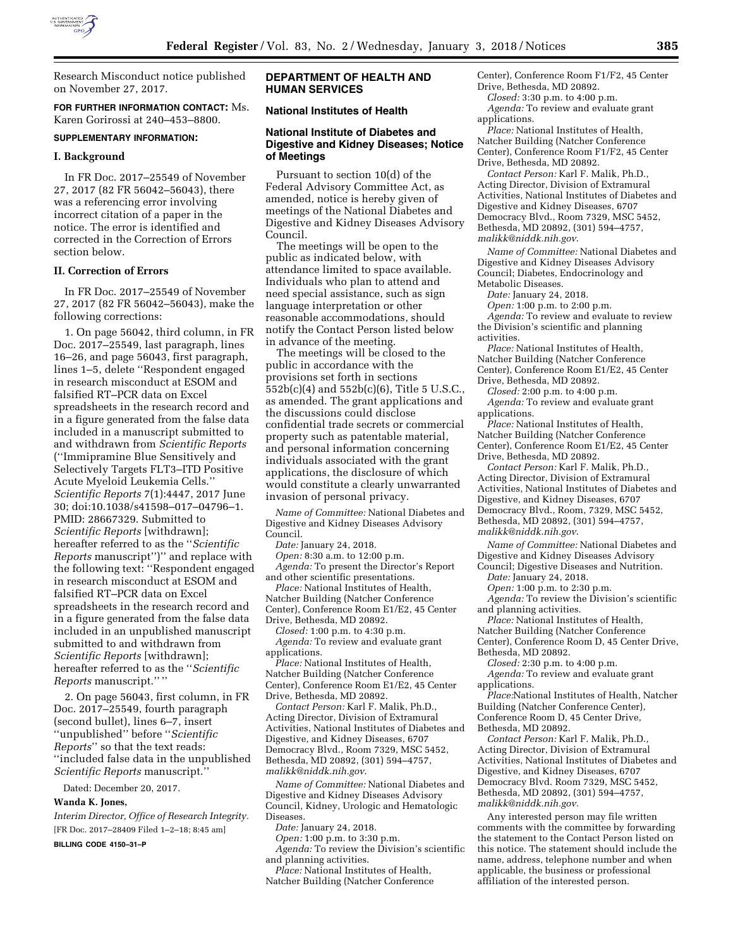

Research Misconduct notice published on November 27, 2017.

**FOR FURTHER INFORMATION CONTACT:** Ms. Karen Gorirossi at 240–453–8800.

#### **SUPPLEMENTARY INFORMATION:**

#### **I. Background**

In FR Doc. 2017–25549 of November 27, 2017 (82 FR 56042–56043), there was a referencing error involving incorrect citation of a paper in the notice. The error is identified and corrected in the Correction of Errors section below.

#### **II. Correction of Errors**

In FR Doc. 2017–25549 of November 27, 2017 (82 FR 56042–56043), make the following corrections:

1. On page 56042, third column, in FR Doc. 2017–25549, last paragraph, lines 16–26, and page 56043, first paragraph, lines 1–5, delete ''Respondent engaged in research misconduct at ESOM and falsified RT–PCR data on Excel spreadsheets in the research record and in a figure generated from the false data included in a manuscript submitted to and withdrawn from *Scientific Reports*  (''Immipramine Blue Sensitively and Selectively Targets FLT3–ITD Positive Acute Myeloid Leukemia Cells.'' *Scientific Reports* 7(1):4447, 2017 June 30; doi:10.1038/s41598–017–04796–1. PMID: 28667329. Submitted to *Scientific Reports* [withdrawn]; hereafter referred to as the ''*Scientific Reports* manuscript'')'' and replace with the following text: ''Respondent engaged in research misconduct at ESOM and falsified RT–PCR data on Excel spreadsheets in the research record and in a figure generated from the false data included in an unpublished manuscript submitted to and withdrawn from *Scientific Reports* [withdrawn]; hereafter referred to as the ''*Scientific Reports* manuscript.'' ''

2. On page 56043, first column, in FR Doc. 2017–25549, fourth paragraph (second bullet), lines 6–7, insert ''unpublished'' before ''*Scientific Reports*'' so that the text reads: ''included false data in the unpublished *Scientific Reports* manuscript.''

Dated: December 20, 2017.

# **Wanda K. Jones,**

*Interim Director, Office of Research Integrity.*  [FR Doc. 2017–28409 Filed 1–2–18; 8:45 am] **BILLING CODE 4150–31–P** 

# **DEPARTMENT OF HEALTH AND HUMAN SERVICES**

# **National Institutes of Health**

# **National Institute of Diabetes and Digestive and Kidney Diseases; Notice of Meetings**

Pursuant to section 10(d) of the Federal Advisory Committee Act, as amended, notice is hereby given of meetings of the National Diabetes and Digestive and Kidney Diseases Advisory Council.

The meetings will be open to the public as indicated below, with attendance limited to space available. Individuals who plan to attend and need special assistance, such as sign language interpretation or other reasonable accommodations, should notify the Contact Person listed below in advance of the meeting.

The meetings will be closed to the public in accordance with the provisions set forth in sections 552b(c)(4) and 552b(c)(6), Title 5 U.S.C., as amended. The grant applications and the discussions could disclose confidential trade secrets or commercial property such as patentable material, and personal information concerning individuals associated with the grant applications, the disclosure of which would constitute a clearly unwarranted invasion of personal privacy.

*Name of Committee:* National Diabetes and Digestive and Kidney Diseases Advisory Council.

*Date:* January 24, 2018.

*Open:* 8:30 a.m. to 12:00 p.m. *Agenda:* To present the Director's Report and other scientific presentations.

*Place:* National Institutes of Health, Natcher Building (Natcher Conference Center), Conference Room E1/E2, 45 Center Drive, Bethesda, MD 20892.

*Closed:* 1:00 p.m. to 4:30 p.m. *Agenda:* To review and evaluate grant applications.

*Place:* National Institutes of Health, Natcher Building (Natcher Conference Center), Conference Room E1/E2, 45 Center Drive, Bethesda, MD 20892.

*Contact Person:* Karl F. Malik, Ph.D., Acting Director, Division of Extramural Activities, National Institutes of Diabetes and Digestive, and Kidney Diseases, 6707 Democracy Blvd., Room 7329, MSC 5452, Bethesda, MD 20892, (301) 594–4757, *[malikk@niddk.nih.gov](mailto:malikk@niddk.nih.gov)*.

*Name of Committee:* National Diabetes and Digestive and Kidney Diseases Advisory Council, Kidney, Urologic and Hematologic Diseases.

*Date:* January 24, 2018.

*Open:* 1:00 p.m. to 3:30 p.m. *Agenda:* To review the Division's scientific and planning activities.

*Place:* National Institutes of Health, Natcher Building (Natcher Conference

Center), Conference Room F1/F2, 45 Center Drive, Bethesda, MD 20892.

*Closed:* 3:30 p.m. to 4:00 p.m.

*Agenda:* To review and evaluate grant applications.

*Place:* National Institutes of Health, Natcher Building (Natcher Conference Center), Conference Room F1/F2, 45 Center Drive, Bethesda, MD 20892.

*Contact Person:* Karl F. Malik, Ph.D., Acting Director, Division of Extramural Activities, National Institutes of Diabetes and Digestive and Kidney Diseases, 6707 Democracy Blvd., Room 7329, MSC 5452, Bethesda, MD 20892, (301) 594–4757, *[malikk@niddk.nih.gov](mailto:malikk@niddk.nih.gov)*.

*Name of Committee:* National Diabetes and Digestive and Kidney Diseases Advisory Council; Diabetes, Endocrinology and Metabolic Diseases.

*Date:* January 24, 2018.

*Open:* 1:00 p.m. to 2:00 p.m.

*Agenda:* To review and evaluate to review the Division's scientific and planning

activities.

*Place:* National Institutes of Health, Natcher Building (Natcher Conference Center), Conference Room E1/E2, 45 Center

Drive, Bethesda, MD 20892.

*Closed:* 2:00 p.m. to 4:00 p.m. *Agenda:* To review and evaluate grant applications.

*Place:* National Institutes of Health, Natcher Building (Natcher Conference Center), Conference Room E1/E2, 45 Center Drive, Bethesda, MD 20892.

*Contact Person:* Karl F. Malik, Ph.D., Acting Director, Division of Extramural Activities, National Institutes of Diabetes and Digestive, and Kidney Diseases, 6707 Democracy Blvd., Room, 7329, MSC 5452, Bethesda, MD 20892, (301) 594–4757, *[malikk@niddk.nih.gov](mailto:malikk@niddk.nih.gov)*.

*Name of Committee:* National Diabetes and Digestive and Kidney Diseases Advisory

Council; Digestive Diseases and Nutrition. *Date:* January 24, 2018.

*Open:* 1:00 p.m. to 2:30 p.m.

*Agenda:* To review the Division's scientific and planning activities.

*Place:* National Institutes of Health, Natcher Building (Natcher Conference Center), Conference Room D, 45 Center Drive, Bethesda, MD 20892.

*Closed:* 2:30 p.m. to 4:00 p.m.

*Agenda:* To review and evaluate grant applications.

*Place:*National Institutes of Health, Natcher Building (Natcher Conference Center), Conference Room D, 45 Center Drive, Bethesda, MD 20892.

*Contact Person:* Karl F. Malik, Ph.D., Acting Director, Division of Extramural Activities, National Institutes of Diabetes and Digestive, and Kidney Diseases, 6707 Democracy Blvd. Room 7329, MSC 5452, Bethesda, MD 20892, (301) 594–4757, *[malikk@niddk.nih.gov.](mailto:malikk@niddk.nih.gov)* 

Any interested person may file written comments with the committee by forwarding the statement to the Contact Person listed on this notice. The statement should include the name, address, telephone number and when applicable, the business or professional affiliation of the interested person.